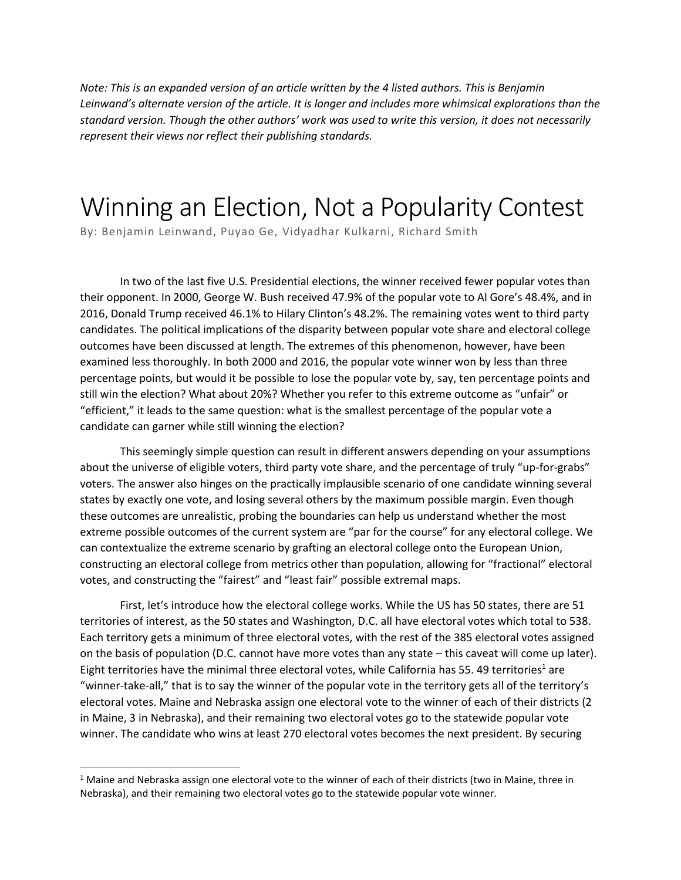*Note: This is an expanded version of an article written by the 4 listed authors. This is Benjamin Leinwand's alternate version of the article. It is longer and includes more whimsical explorations than the standard version. Though the other authors' work was used to write this version, it does not necessarily represent their views nor reflect their publishing standards.* 

# Winning an Election, Not a Popularity Contest

By: Benjamin Leinwand, Puyao Ge, Vidyadhar Kulkarni, Richard Smith

In two of the last five U.S. Presidential elections, the winner received fewer popular votes than their opponent. In 2000, George W. Bush received 47.9% of the popular vote to Al Gore's 48.4%, and in 2016, Donald Trump received 46.1% to Hilary Clinton's 48.2%. The remaining votes went to third party candidates. The political implications of the disparity between popular vote share and electoral college outcomes have been discussed at length. The extremes of this phenomenon, however, have been examined less thoroughly. In both 2000 and 2016, the popular vote winner won by less than three percentage points, but would it be possible to lose the popular vote by, say, ten percentage points and still win the election? What about 20%? Whether you refer to this extreme outcome as "unfair" or "efficient," it leads to the same question: what is the smallest percentage of the popular vote a candidate can garner while still winning the election?

This seemingly simple question can result in different answers depending on your assumptions about the universe of eligible voters, third party vote share, and the percentage of truly "up-for-grabs" voters. The answer also hinges on the practically implausible scenario of one candidate winning several states by exactly one vote, and losing several others by the maximum possible margin. Even though these outcomes are unrealistic, probing the boundaries can help us understand whether the most extreme possible outcomes of the current system are "par for the course" for any electoral college. We can contextualize the extreme scenario by grafting an electoral college onto the European Union, constructing an electoral college from metrics other than population, allowing for "fractional" electoral votes, and constructing the "fairest" and "least fair" possible extremal maps.

First, let's introduce how the electoral college works. While the US has 50 states, there are 51 territories of interest, as the 50 states and Washington, D.C. all have electoral votes which total to 538. Each territory gets a minimum of three electoral votes, with the rest of the 385 electoral votes assigned on the basis of population (D.C. cannot have more votes than any state – this caveat will come up later). Eight territories have the minimal three electoral votes, while California has 55. 49 territories<sup>1</sup> are "winner-take-all," that is to say the winner of the popular vote in the territory gets all of the territory's electoral votes. Maine and Nebraska assign one electoral vote to the winner of each of their districts (2 in Maine, 3 in Nebraska), and their remaining two electoral votes go to the statewide popular vote winner. The candidate who wins at least 270 electoral votes becomes the next president. By securing

 $1$  Maine and Nebraska assign one electoral vote to the winner of each of their districts (two in Maine, three in Nebraska), and their remaining two electoral votes go to the statewide popular vote winner.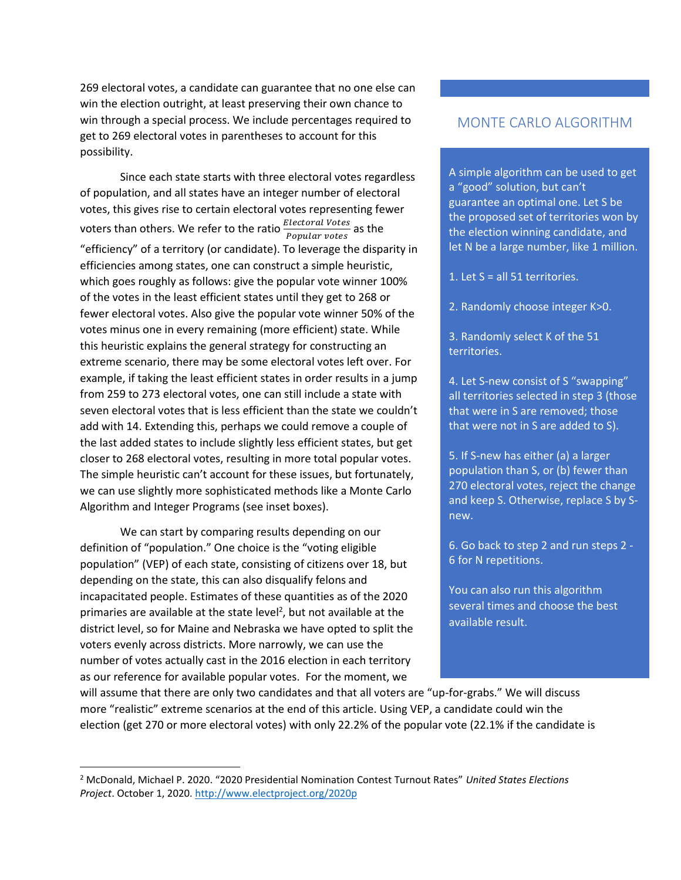269 electoral votes, a candidate can guarantee that no one else can win the election outright, at least preserving their own chance to win through a special process. We include percentages required to get to 269 electoral votes in parentheses to account for this possibility.

Since each state starts with three electoral votes regardless of population, and all states have an integer number of electoral votes, this gives rise to certain electoral votes representing fewer voters than others. We refer to the ratio  $\frac{Electoral \: Votes}{Popular \: votes}$  as the "efficiency" of a territory (or candidate). To leverage the disparity in efficiencies among states, one can construct a simple heuristic, which goes roughly as follows: give the popular vote winner 100% of the votes in the least efficient states until they get to 268 or fewer electoral votes. Also give the popular vote winner 50% of the votes minus one in every remaining (more efficient) state. While this heuristic explains the general strategy for constructing an extreme scenario, there may be some electoral votes left over. For example, if taking the least efficient states in order results in a jump from 259 to 273 electoral votes, one can still include a state with seven electoral votes that is less efficient than the state we couldn't add with 14. Extending this, perhaps we could remove a couple of the last added states to include slightly less efficient states, but get closer to 268 electoral votes, resulting in more total popular votes. The simple heuristic can't account for these issues, but fortunately, we can use slightly more sophisticated methods like a Monte Carlo Algorithm and Integer Programs (see inset boxes).

We can start by comparing results depending on our definition of "population." One choice is the "voting eligible population" (VEP) of each state, consisting of citizens over 18, but depending on the state, this can also disqualify felons and incapacitated people. Estimates of these quantities as of the 2020 primaries are available at the state level<sup>2</sup>, but not available at the district level, so for Maine and Nebraska we have opted to split the voters evenly across districts. More narrowly, we can use the number of votes actually cast in the 2016 election in each territory as our reference for available popular votes. For the moment, we

# MONTE CARLO ALGORITHM

A simple algorithm can be used to get a "good" solution, but can't guarantee an optimal one. Let S be the proposed set of territories won by the election winning candidate, and let N be a large number, like 1 million.

1. Let S = all 51 territories.

- 2. Randomly choose integer K>0.
- 3. Randomly select K of the 51 territories.

4. Let S-new consist of S "swapping" all territories selected in step 3 (those that were in S are removed; those that were not in S are added to S).

5. If S-new has either (a) a larger population than S, or (b) fewer than 270 electoral votes, reject the change and keep S. Otherwise, replace S by Snew.

6. Go back to step 2 and run steps 2 - 6 for N repetitions.

You can also run this algorithm several times and choose the best available result.

will assume that there are only two candidates and that all voters are "up-for-grabs." We will discuss more "realistic" extreme scenarios at the end of this article. Using VEP, a candidate could win the election (get 270 or more electoral votes) with only 22.2% of the popular vote (22.1% if the candidate is

<sup>2</sup> McDonald, Michael P. 2020. "2020 Presidential Nomination Contest Turnout Rates" *United States Elections Project*. October 1, 2020[. http://www.electproject.org/2020p](http://www.electproject.org/2020p)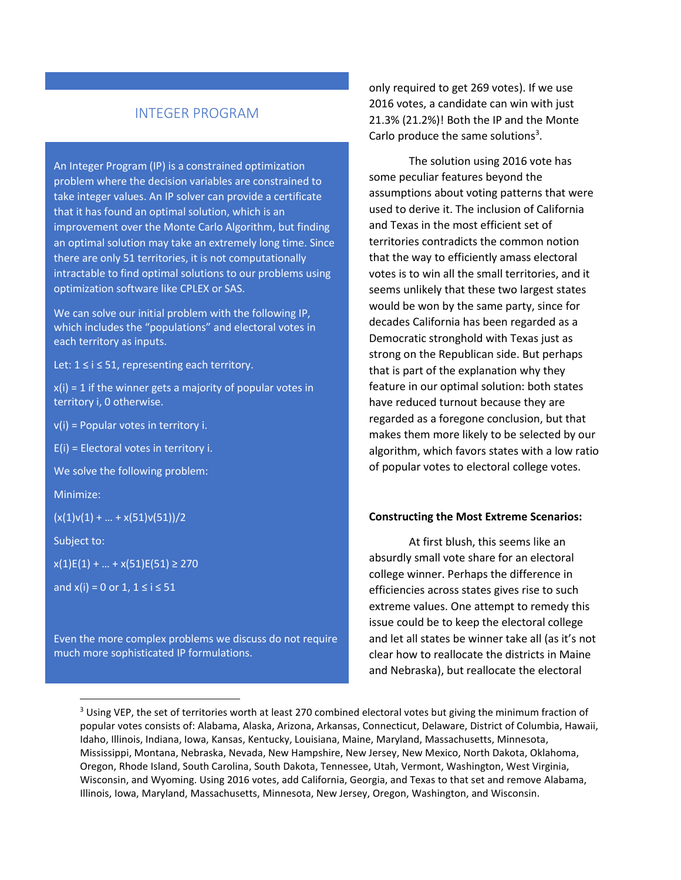# INTEGER PROGRAM

An Integer Program (IP) is a constrained optimization problem where the decision variables are constrained to take integer values. An IP solver can provide a certificate that it has found an optimal solution, which is an improvement over the Monte Carlo Algorithm, but finding an optimal solution may take an extremely long time. Since there are only 51 territories, it is not computationally intractable to find optimal solutions to our problems using optimization software like CPLEX or SAS.

We can solve our initial problem with the following IP, which includes the "populations" and electoral votes in each territory as inputs.

Let: 1 ≤ i ≤ 51, representing each territory.

 $x(i) = 1$  if the winner gets a majority of popular votes in territory i, 0 otherwise.

 $v(i)$  = Popular votes in territory i.

E(i) = Electoral votes in territory i.

We solve the following problem:

Minimize:

 $(x(1)v(1) + ... + x(51)v(51))/2$ 

Subject to:

 $x(1)E(1) + ... + x(51)E(51) \ge 270$ 

and  $x(i) = 0$  or 1,  $1 \le i \le 51$ 

Even the more complex problems we discuss do not require much more sophisticated IP formulations.

only required to get 269 votes). If we use 2016 votes, a candidate can win with just 21.3% (21.2%)! Both the IP and the Monte Carlo produce the same solutions<sup>3</sup>.

The solution using 2016 vote has some peculiar features beyond the assumptions about voting patterns that were used to derive it. The inclusion of California and Texas in the most efficient set of territories contradicts the common notion that the way to efficiently amass electoral votes is to win all the small territories, and it seems unlikely that these two largest states would be won by the same party, since for decades California has been regarded as a Democratic stronghold with Texas just as strong on the Republican side. But perhaps that is part of the explanation why they feature in our optimal solution: both states have reduced turnout because they are regarded as a foregone conclusion, but that makes them more likely to be selected by our algorithm, which favors states with a low ratio of popular votes to electoral college votes.

#### **Constructing the Most Extreme Scenarios:**

At first blush, this seems like an absurdly small vote share for an electoral college winner. Perhaps the difference in efficiencies across states gives rise to such extreme values. One attempt to remedy this issue could be to keep the electoral college and let all states be winner take all (as it's not clear how to reallocate the districts in Maine and Nebraska), but reallocate the electoral

<sup>&</sup>lt;sup>3</sup> Using VEP, the set of territories worth at least 270 combined electoral votes but giving the minimum fraction of popular votes consists of: Alabama, Alaska, Arizona, Arkansas, Connecticut, Delaware, District of Columbia, Hawaii, Idaho, Illinois, Indiana, Iowa, Kansas, Kentucky, Louisiana, Maine, Maryland, Massachusetts, Minnesota, Mississippi, Montana, Nebraska, Nevada, New Hampshire, New Jersey, New Mexico, North Dakota, Oklahoma, Oregon, Rhode Island, South Carolina, South Dakota, Tennessee, Utah, Vermont, Washington, West Virginia, Wisconsin, and Wyoming. Using 2016 votes, add California, Georgia, and Texas to that set and remove Alabama, Illinois, Iowa, Maryland, Massachusetts, Minnesota, New Jersey, Oregon, Washington, and Wisconsin.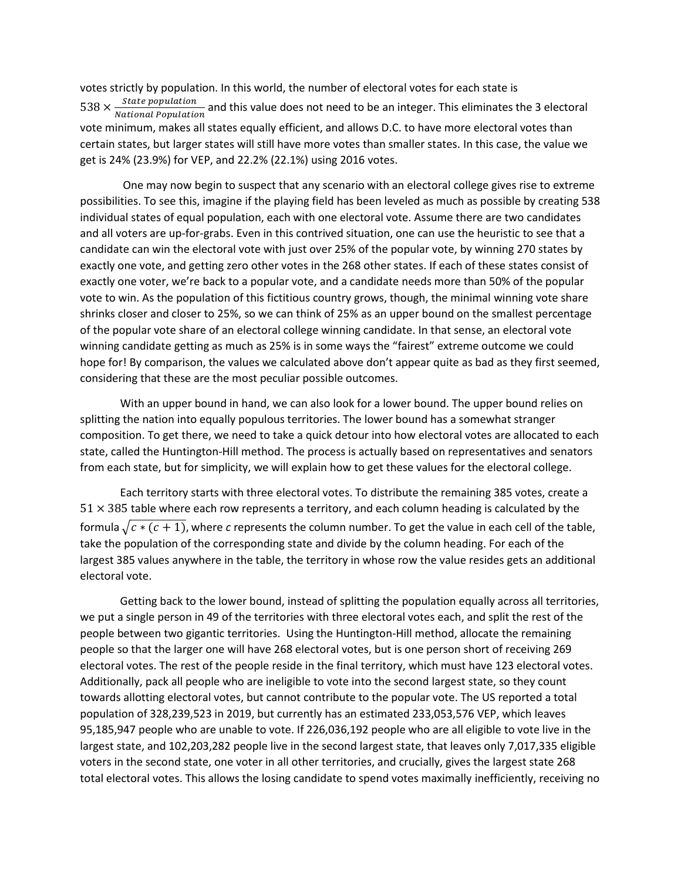votes strictly by population. In this world, the number of electoral votes for each state is  $538 \times \frac{State\ population}{National\ Population}$  and this value does not need to be an integer. This eliminates the 3 electoral vote minimum, makes all states equally efficient, and allows D.C. to have more electoral votes than certain states, but larger states will still have more votes than smaller states. In this case, the value we get is 24% (23.9%) for VEP, and 22.2% (22.1%) using 2016 votes.

One may now begin to suspect that any scenario with an electoral college gives rise to extreme possibilities. To see this, imagine if the playing field has been leveled as much as possible by creating 538 individual states of equal population, each with one electoral vote. Assume there are two candidates and all voters are up-for-grabs. Even in this contrived situation, one can use the heuristic to see that a candidate can win the electoral vote with just over 25% of the popular vote, by winning 270 states by exactly one vote, and getting zero other votes in the 268 other states. If each of these states consist of exactly one voter, we're back to a popular vote, and a candidate needs more than 50% of the popular vote to win. As the population of this fictitious country grows, though, the minimal winning vote share shrinks closer and closer to 25%, so we can think of 25% as an upper bound on the smallest percentage of the popular vote share of an electoral college winning candidate. In that sense, an electoral vote winning candidate getting as much as 25% is in some ways the "fairest" extreme outcome we could hope for! By comparison, the values we calculated above don't appear quite as bad as they first seemed, considering that these are the most peculiar possible outcomes.

With an upper bound in hand, we can also look for a lower bound. The upper bound relies on splitting the nation into equally populous territories. The lower bound has a somewhat stranger composition. To get there, we need to take a quick detour into how electoral votes are allocated to each state, called the Huntington-Hill method. The process is actually based on representatives and senators from each state, but for simplicity, we will explain how to get these values for the electoral college.

Each territory starts with three electoral votes. To distribute the remaining 385 votes, create a  $51 \times 385$  table where each row represents a territory, and each column heading is calculated by the formula  $\sqrt{c*(c+1)}$ , where *c* represents the column number. To get the value in each cell of the table, take the population of the corresponding state and divide by the column heading. For each of the largest 385 values anywhere in the table, the territory in whose row the value resides gets an additional electoral vote.

Getting back to the lower bound, instead of splitting the population equally across all territories, we put a single person in 49 of the territories with three electoral votes each, and split the rest of the people between two gigantic territories. Using the Huntington-Hill method, allocate the remaining people so that the larger one will have 268 electoral votes, but is one person short of receiving 269 electoral votes. The rest of the people reside in the final territory, which must have 123 electoral votes. Additionally, pack all people who are ineligible to vote into the second largest state, so they count towards allotting electoral votes, but cannot contribute to the popular vote. The US reported a total population of 328,239,523 in 2019, but currently has an estimated 233,053,576 VEP, which leaves 95,185,947 people who are unable to vote. If 226,036,192 people who are all eligible to vote live in the largest state, and 102,203,282 people live in the second largest state, that leaves only 7,017,335 eligible voters in the second state, one voter in all other territories, and crucially, gives the largest state 268 total electoral votes. This allows the losing candidate to spend votes maximally inefficiently, receiving no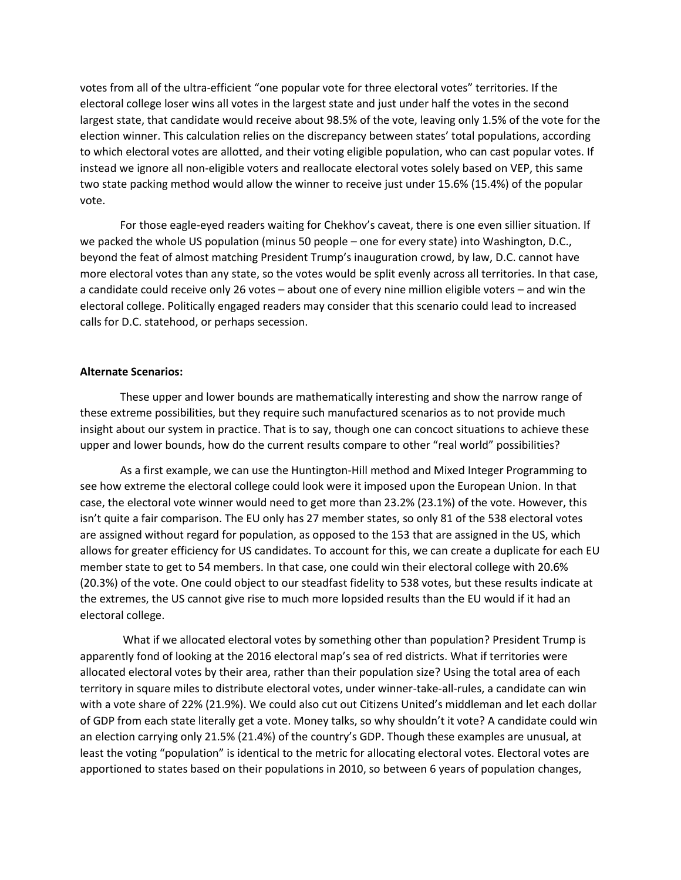votes from all of the ultra-efficient "one popular vote for three electoral votes" territories. If the electoral college loser wins all votes in the largest state and just under half the votes in the second largest state, that candidate would receive about 98.5% of the vote, leaving only 1.5% of the vote for the election winner. This calculation relies on the discrepancy between states' total populations, according to which electoral votes are allotted, and their voting eligible population, who can cast popular votes. If instead we ignore all non-eligible voters and reallocate electoral votes solely based on VEP, this same two state packing method would allow the winner to receive just under 15.6% (15.4%) of the popular vote.

For those eagle-eyed readers waiting for Chekhov's caveat, there is one even sillier situation. If we packed the whole US population (minus 50 people – one for every state) into Washington, D.C., beyond the feat of almost matching President Trump's inauguration crowd, by law, D.C. cannot have more electoral votes than any state, so the votes would be split evenly across all territories. In that case, a candidate could receive only 26 votes – about one of every nine million eligible voters – and win the electoral college. Politically engaged readers may consider that this scenario could lead to increased calls for D.C. statehood, or perhaps secession.

## **Alternate Scenarios:**

These upper and lower bounds are mathematically interesting and show the narrow range of these extreme possibilities, but they require such manufactured scenarios as to not provide much insight about our system in practice. That is to say, though one can concoct situations to achieve these upper and lower bounds, how do the current results compare to other "real world" possibilities?

As a first example, we can use the Huntington-Hill method and Mixed Integer Programming to see how extreme the electoral college could look were it imposed upon the European Union. In that case, the electoral vote winner would need to get more than 23.2% (23.1%) of the vote. However, this isn't quite a fair comparison. The EU only has 27 member states, so only 81 of the 538 electoral votes are assigned without regard for population, as opposed to the 153 that are assigned in the US, which allows for greater efficiency for US candidates. To account for this, we can create a duplicate for each EU member state to get to 54 members. In that case, one could win their electoral college with 20.6% (20.3%) of the vote. One could object to our steadfast fidelity to 538 votes, but these results indicate at the extremes, the US cannot give rise to much more lopsided results than the EU would if it had an electoral college.

What if we allocated electoral votes by something other than population? President Trump is apparently fond of looking at the 2016 electoral map's sea of red districts. What if territories were allocated electoral votes by their area, rather than their population size? Using the total area of each territory in square miles to distribute electoral votes, under winner-take-all-rules, a candidate can win with a vote share of 22% (21.9%). We could also cut out Citizens United's middleman and let each dollar of GDP from each state literally get a vote. Money talks, so why shouldn't it vote? A candidate could win an election carrying only 21.5% (21.4%) of the country's GDP. Though these examples are unusual, at least the voting "population" is identical to the metric for allocating electoral votes. Electoral votes are apportioned to states based on their populations in 2010, so between 6 years of population changes,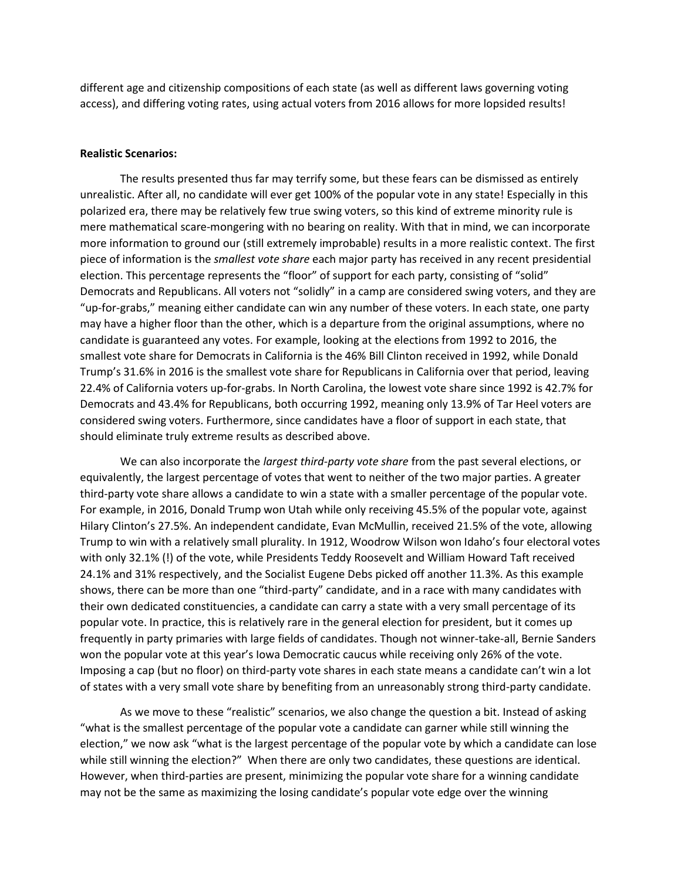different age and citizenship compositions of each state (as well as different laws governing voting access), and differing voting rates, using actual voters from 2016 allows for more lopsided results!

### **Realistic Scenarios:**

The results presented thus far may terrify some, but these fears can be dismissed as entirely unrealistic. After all, no candidate will ever get 100% of the popular vote in any state! Especially in this polarized era, there may be relatively few true swing voters, so this kind of extreme minority rule is mere mathematical scare-mongering with no bearing on reality. With that in mind, we can incorporate more information to ground our (still extremely improbable) results in a more realistic context. The first piece of information is the *smallest vote share* each major party has received in any recent presidential election. This percentage represents the "floor" of support for each party, consisting of "solid" Democrats and Republicans. All voters not "solidly" in a camp are considered swing voters, and they are "up-for-grabs," meaning either candidate can win any number of these voters. In each state, one party may have a higher floor than the other, which is a departure from the original assumptions, where no candidate is guaranteed any votes. For example, looking at the elections from 1992 to 2016, the smallest vote share for Democrats in California is the 46% Bill Clinton received in 1992, while Donald Trump's 31.6% in 2016 is the smallest vote share for Republicans in California over that period, leaving 22.4% of California voters up-for-grabs. In North Carolina, the lowest vote share since 1992 is 42.7% for Democrats and 43.4% for Republicans, both occurring 1992, meaning only 13.9% of Tar Heel voters are considered swing voters. Furthermore, since candidates have a floor of support in each state, that should eliminate truly extreme results as described above.

We can also incorporate the *largest third-party vote share* from the past several elections, or equivalently, the largest percentage of votes that went to neither of the two major parties. A greater third-party vote share allows a candidate to win a state with a smaller percentage of the popular vote. For example, in 2016, Donald Trump won Utah while only receiving 45.5% of the popular vote, against Hilary Clinton's 27.5%. An independent candidate, Evan McMullin, received 21.5% of the vote, allowing Trump to win with a relatively small plurality. In 1912, Woodrow Wilson won Idaho's four electoral votes with only 32.1% (!) of the vote, while Presidents Teddy Roosevelt and William Howard Taft received 24.1% and 31% respectively, and the Socialist Eugene Debs picked off another 11.3%. As this example shows, there can be more than one "third-party" candidate, and in a race with many candidates with their own dedicated constituencies, a candidate can carry a state with a very small percentage of its popular vote. In practice, this is relatively rare in the general election for president, but it comes up frequently in party primaries with large fields of candidates. Though not winner-take-all, Bernie Sanders won the popular vote at this year's Iowa Democratic caucus while receiving only 26% of the vote. Imposing a cap (but no floor) on third-party vote shares in each state means a candidate can't win a lot of states with a very small vote share by benefiting from an unreasonably strong third-party candidate.

As we move to these "realistic" scenarios, we also change the question a bit. Instead of asking "what is the smallest percentage of the popular vote a candidate can garner while still winning the election," we now ask "what is the largest percentage of the popular vote by which a candidate can lose while still winning the election?" When there are only two candidates, these questions are identical. However, when third-parties are present, minimizing the popular vote share for a winning candidate may not be the same as maximizing the losing candidate's popular vote edge over the winning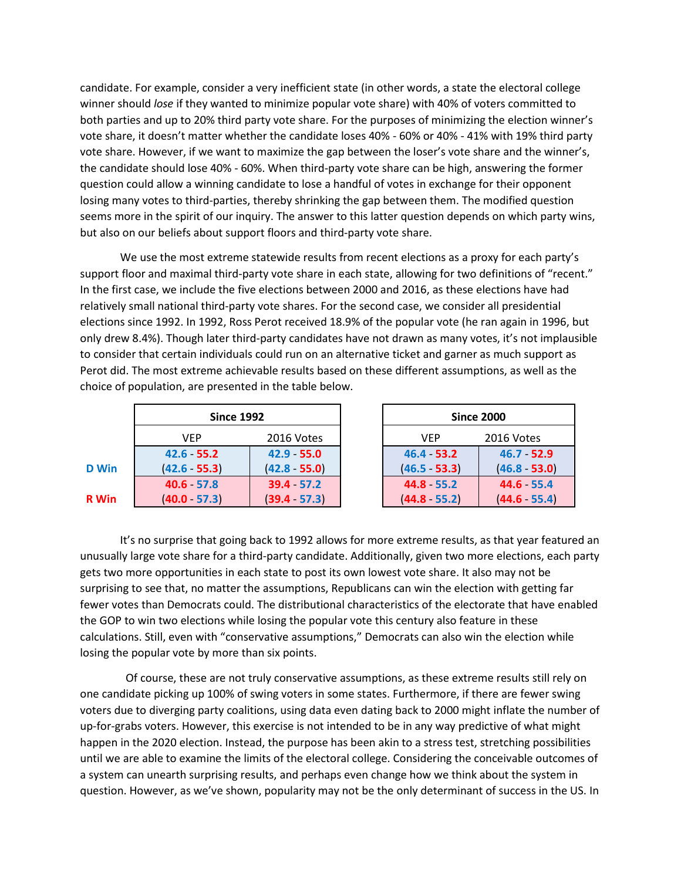candidate. For example, consider a very inefficient state (in other words, a state the electoral college winner should *lose* if they wanted to minimize popular vote share) with 40% of voters committed to both parties and up to 20% third party vote share. For the purposes of minimizing the election winner's vote share, it doesn't matter whether the candidate loses 40% - 60% or 40% - 41% with 19% third party vote share. However, if we want to maximize the gap between the loser's vote share and the winner's, the candidate should lose 40% - 60%. When third-party vote share can be high, answering the former question could allow a winning candidate to lose a handful of votes in exchange for their opponent losing many votes to third-parties, thereby shrinking the gap between them. The modified question seems more in the spirit of our inquiry. The answer to this latter question depends on which party wins, but also on our beliefs about support floors and third-party vote share.

We use the most extreme statewide results from recent elections as a proxy for each party's support floor and maximal third-party vote share in each state, allowing for two definitions of "recent." In the first case, we include the five elections between 2000 and 2016, as these elections have had relatively small national third-party vote shares. For the second case, we consider all presidential elections since 1992. In 1992, Ross Perot received 18.9% of the popular vote (he ran again in 1996, but only drew 8.4%). Though later third-party candidates have not drawn as many votes, it's not implausible to consider that certain individuals could run on an alternative ticket and garner as much support as Perot did. The most extreme achievable results based on these different assumptions, as well as the choice of population, are presented in the table below.

|              | <b>Since 1992</b> |                 | <b>Since 2000</b> |                  |
|--------------|-------------------|-----------------|-------------------|------------------|
|              | VEP               | 2016 Votes      | <b>VEP</b>        | 201              |
|              | $42.6 - 55.2$     | $42.9 - 55.0$   | $46.4 - 53.2$     | $\overline{a}$   |
| <b>D</b> Win | $(42.6 - 55.3)$   | $(42.8 - 55.0)$ | $(46.5 - 53.3)$   | $\overline{a}$   |
|              | 40.6 57.8         | 39.4 57.2       | 44.8 55.2         | $\boldsymbol{A}$ |
| <b>R</b> Win | $(40.0 - 57.3)$   | (39.4 57.3)     | $(44.8 - 55.2)$   | (4               |

| <b>Since 1992</b> |                 | <b>Since 2000</b> |                 |  |
|-------------------|-----------------|-------------------|-----------------|--|
| VFP               | 2016 Votes      | <b>VEP</b>        | 2016 Votes      |  |
| $6 - 55.2$        | 42.9 55.0       | 46.4 53.2         | $46.7 - 52.9$   |  |
| $6 - 55.3$        | $(42.8 - 55.0)$ | $(46.5 - 53.3)$   | $(46.8 - 53.0)$ |  |
| $6 - 57.8$        | 39.4 57.2       | 44.8 - 55.2       | $44.6 - 55.4$   |  |
| $0 - 57.3$        | (39.4 57.3)     | $(44.8 - 55.2)$   | $(44.6 - 55.4)$ |  |

It's no surprise that going back to 1992 allows for more extreme results, as that year featured an unusually large vote share for a third-party candidate. Additionally, given two more elections, each party gets two more opportunities in each state to post its own lowest vote share. It also may not be surprising to see that, no matter the assumptions, Republicans can win the election with getting far fewer votes than Democrats could. The distributional characteristics of the electorate that have enabled the GOP to win two elections while losing the popular vote this century also feature in these calculations. Still, even with "conservative assumptions," Democrats can also win the election while losing the popular vote by more than six points.

 Of course, these are not truly conservative assumptions, as these extreme results still rely on one candidate picking up 100% of swing voters in some states. Furthermore, if there are fewer swing voters due to diverging party coalitions, using data even dating back to 2000 might inflate the number of up-for-grabs voters. However, this exercise is not intended to be in any way predictive of what might happen in the 2020 election. Instead, the purpose has been akin to a stress test, stretching possibilities until we are able to examine the limits of the electoral college. Considering the conceivable outcomes of a system can unearth surprising results, and perhaps even change how we think about the system in question. However, as we've shown, popularity may not be the only determinant of success in the US. In